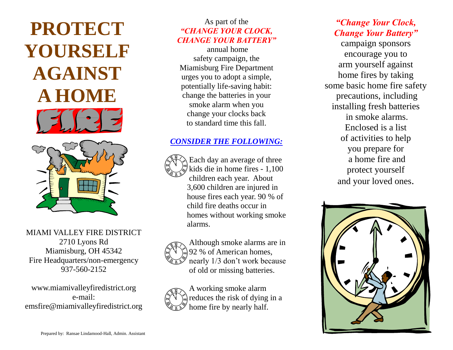

MIAMI VALLEY FIRE DISTRICT 2710 Lyons Rd Miamisburg, OH 45342 Fire Headquarters/non-emergency 937-560-2152

www.miamivalleyfiredistrict.org e-mail: emsfire@miamivalleyfiredistrict.org

#### As part of the *"CHANGE YOUR CLOCK, CHANGE YOUR BATTERY"*

annual home safety campaign, the Miamisburg Fire Department urges you to adopt a simple, potentially life-saving habit: change the batteries in your smoke alarm when you change your clocks back to standard time this fall.

#### *CONSIDER THE FOLLOWING:*



Each day an average of three kids die in home fires - 1,100 children each year. About 3,600 children are injured in house fires each year. 90 % of child fire deaths occur in homes without working smoke alarms.



Although smoke alarms are in 92 % of American homes, nearly 1/3 don't work because of old or missing batteries.



#### *"Change Your Clock, Change Your Battery"*

campaign sponsors encourage you to arm yourself against home fires by taking some basic home fire safety precautions, including installing fresh batteries in smoke alarms. Enclosed is a list of activities to help you prepare for a home fire and protect yourself and your loved ones.